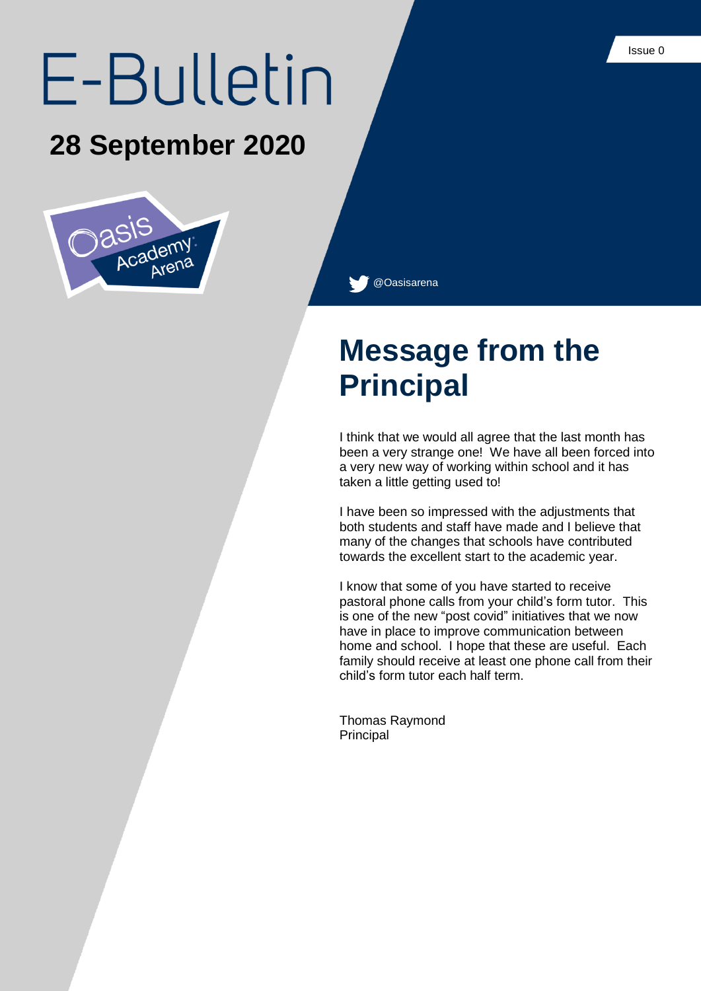# E-Bulletin

#### **28 September 2020**



@Oasisarena

## **Message from the Principal**

I think that we would all agree that the last month has been a very strange one! We have all been forced into a very new way of working within school and it has taken a little getting used to!

I have been so impressed with the adjustments that both students and staff have made and I believe that many of the changes that schools have contributed towards the excellent start to the academic year.

I know that some of you have started to receive pastoral phone calls from your child's form tutor. This is one of the new "post covid" initiatives that we now have in place to improve communication between home and school. I hope that these are useful. Each family should receive at least one phone call from their child's form tutor each half term.

Thomas Raymond Principal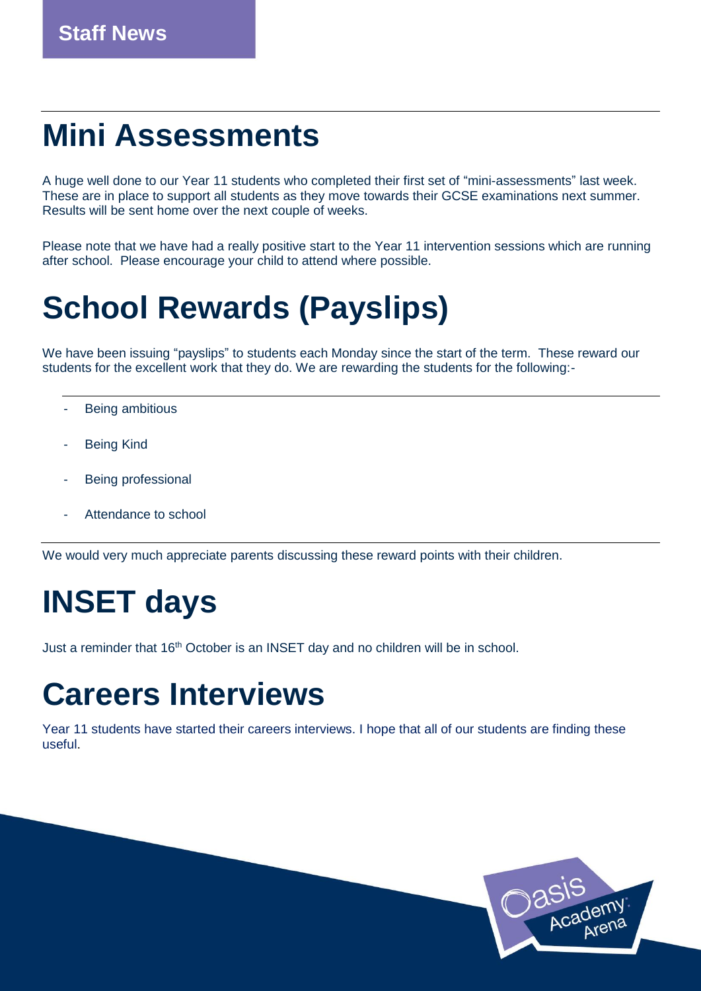## **Mini Assessments**

A huge well done to our Year 11 students who completed their first set of "mini-assessments" last week. These are in place to support all students as they move towards their GCSE examinations next summer. Results will be sent home over the next couple of weeks.

Please note that we have had a really positive start to the Year 11 intervention sessions which are running after school. Please encourage your child to attend where possible.

# **School Rewards (Payslips)**

We have been issuing "payslips" to students each Monday since the start of the term. These reward our students for the excellent work that they do. We are rewarding the students for the following:-

- Being ambitious
- **Being Kind**
- Being professional
- Attendance to school

We would very much appreciate parents discussing these reward points with their children.

# **INSET days**

Just a reminder that 16th October is an INSET day and no children will be in school.

#### **Careers Interviews**

Year 11 students have started their careers interviews. I hope that all of our students are finding these useful.